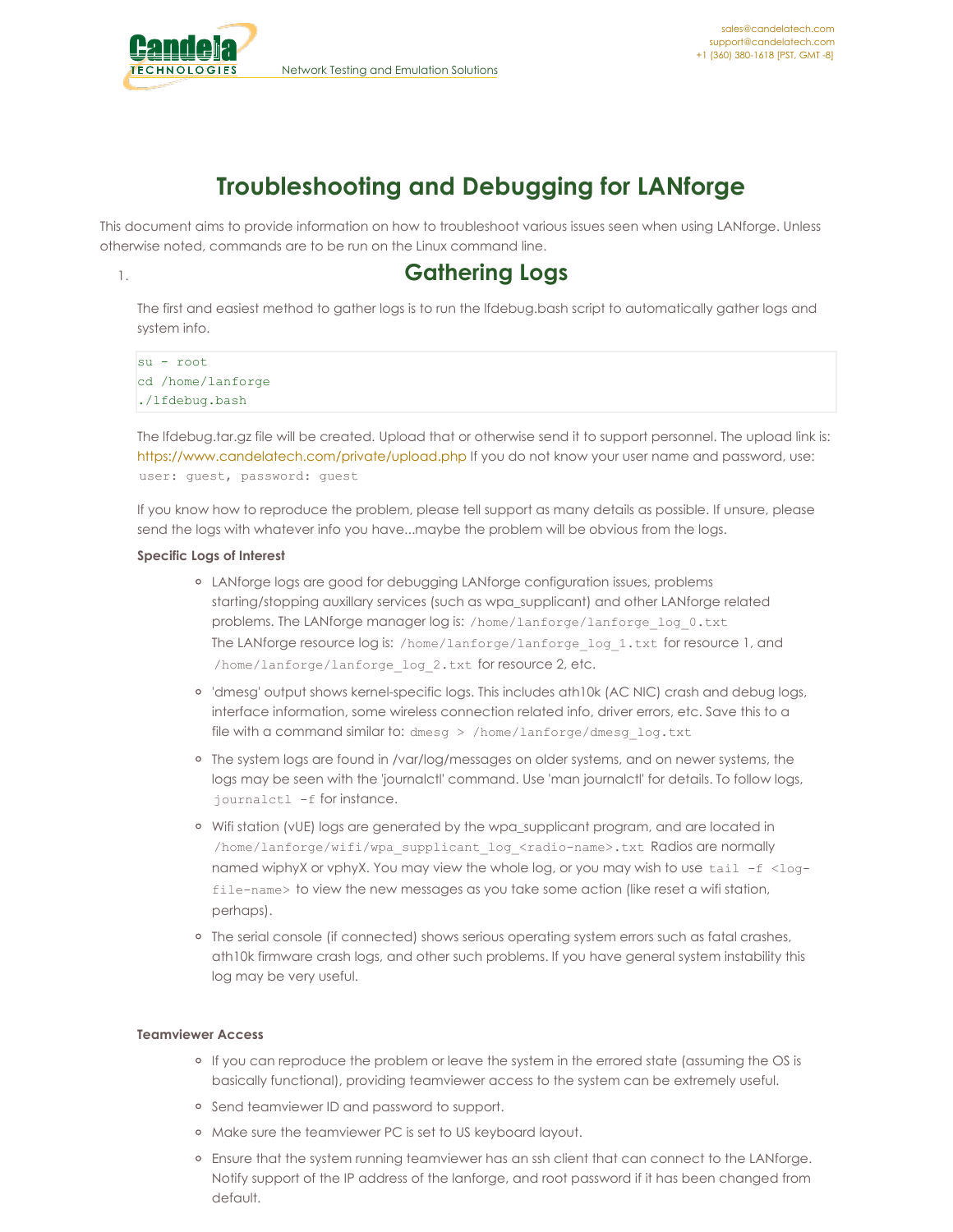

# **Troubleshooting and Debugging for LANforge**

This document aims to provide information on how to troubleshoot various issues seen when using LANforge. Unless otherwise noted, commands are to be run on the Linux command line.

## 1. **Gathering Logs**

The first and easiest method to gather logs is to run the lfdebug.bash script to automatically gather logs and system info.

```
su - root
cd /home/lanforge
./lfdebug.bash
```
The lfdebug.tar.gz file will be created. Upload that or otherwise send it to support personnel. The upload link is: [https://www.candelatech.com/private/upload.php](https://www.candelatech.com/upload.php) If you do not know your user name and password, use: user: guest, password: guest

If you know how to reproduce the problem, please tell support as many details as possible. If unsure, please send the logs with whatever info you have...maybe the problem will be obvious from the logs.

### **Specific Logs of Interest**

- LANforge logs are good for debugging LANforge configuration issues, problems starting/stopping auxillary services (such as wpa\_supplicant) and other LANforge related problems. The LANforge manager log is: /home/lanforge/lanforge\_log\_0.txt The LANforge resource log is: /home/lanforge/lanforge\_log\_1.txt for resource 1, and /home/lanforge/lanforge\_log\_2.txt for resource 2, etc.
- 'dmesg' output shows kernel-specific logs. This includes ath10k (AC NIC) crash and debug logs, interface information, some wireless connection related info, driver errors, etc. Save this to a file with a command similar to: dmesg > /home/lanforge/dmesg\_log.txt
- The system logs are found in /var/log/messages on older systems, and on newer systems, the logs may be seen with the 'journalctl' command. Use 'man journalctl' for details. To follow logs, journalctl -f for instance.
- o Wifi station (vUE) logs are generated by the wpa\_supplicant program, and are located in /home/lanforge/wifi/wpa\_supplicant\_log\_<radio-name>.txt Radios are normally named wiphyX or vphyX. You may view the whole log, or you may wish to use tail -f <logfile-name> to view the new messages as you take some action (like reset a wifi station, perhaps).
- <sup>o</sup> The serial console (if connected) shows serious operating system errors such as fatal crashes, ath10k firmware crash logs, and other such problems. If you have general system instability this log may be very useful.

### **Teamviewer Access**

- <sup>o</sup> If you can reproduce the problem or leave the system in the errored state (assuming the OS is basically functional), providing teamviewer access to the system can be extremely useful.
- o Send teamviewer ID and password to support.
- Make sure the teamviewer PC is set to US keyboard layout.
- Ensure that the system running teamviewer has an ssh client that can connect to the LANforge. Notify support of the IP address of the lanforge, and root password if it has been changed from default.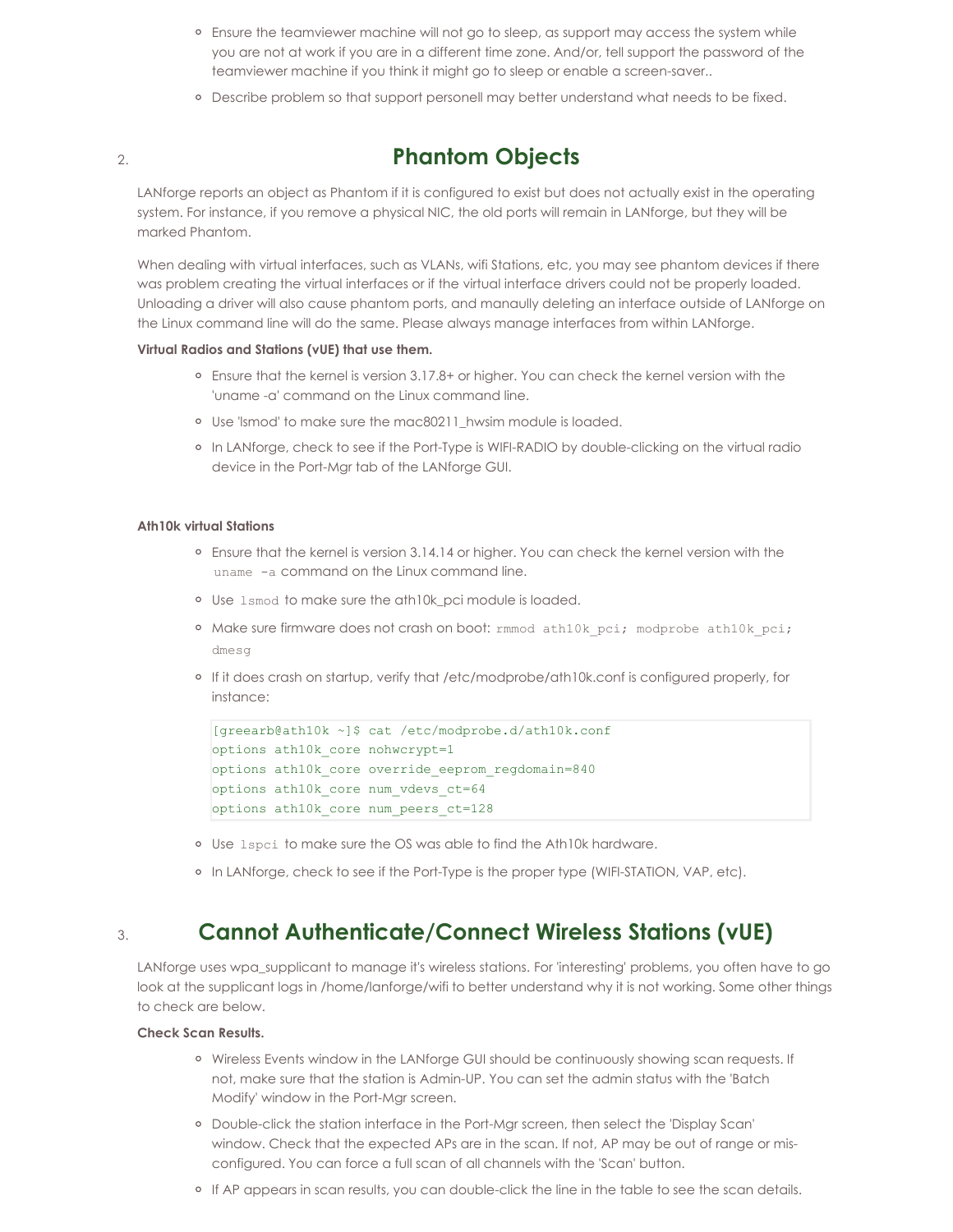- <sup>o</sup> Ensure the teamviewer machine will not go to sleep, as support may access the system while you are not at work if you are in a different time zone. And/or, tell support the password of the teamviewer machine if you think it might go to sleep or enable a screen-saver..
- <sup>o</sup> Describe problem so that support personell may better understand what needs to be fixed.

## 2. **Phantom Objects**

LANforge reports an object as Phantom if it is configured to exist but does not actually exist in the operating system. For instance, if you remove a physical NIC, the old ports will remain in LANforge, but they will be marked Phantom.

When dealing with virtual interfaces, such as VLANs, wifi Stations, etc, you may see phantom devices if there was problem creating the virtual interfaces or if the virtual interface drivers could not be properly loaded. Unloading a driver will also cause phantom ports, and manaully deleting an interface outside of LANforge on the Linux command line will do the same. Please always manage interfaces from within LANforge.

### **Virtual Radios and Stations (vUE) that use them.**

- Ensure that the kernel is version 3.17.8+ or higher. You can check the kernel version with the 'uname -a' command on the Linux command line.
- <sup>o</sup> Use 'Ismod' to make sure the mac80211 hwsim module is loaded.
- o In LANforge, check to see if the Port-Type is WIFI-RADIO by double-clicking on the virtual radio device in the Port-Mgr tab of the LANforge GUI.

### **Ath10k virtual Stations**

- Ensure that the kernel is version 3.14.14 or higher. You can check the kernel version with the uname -a command on the Linux command line.
- Use lsmod to make sure the ath10k\_pci module is loaded.
- <sup>o</sup> Make sure firmware does not crash on boot: rmmod ath10k pci; modprobe ath10k pci; dmesg
- If it does crash on startup, verify that /etc/modprobe/ath10k.conf is configured properly, for instance:

```
[greearb@ath10k ~]$ cat /etc/modprobe.d/ath10k.conf
options ath10k_core nohwcrypt=1
options ath10k_core override_eeprom_regdomain=840
options ath10k_core num_vdevs_ct=64
options ath10k_core num_peers_ct=128
```
- Use lspci to make sure the OS was able to find the Ath10k hardware.
- o In LANforge, check to see if the Port-Type is the proper type (WIFI-STATION, VAP, etc).

## 3. **Cannot Authenticate/Connect Wireless Stations (vUE)**

LANforge uses wpa\_supplicant to manage it's wireless stations. For 'interesting' problems, you often have to go look at the supplicant logs in /home/lanforge/wifi to better understand why it is not working. Some other things to check are below.

### **Check Scan Results.**

- o Wireless Events window in the LANforge GUI should be continuously showing scan requests. If not, make sure that the station is Admin-UP. You can set the admin status with the 'Batch Modify' window in the Port-Mgr screen.
- Double-click the station interface in the Port-Mgr screen, then select the 'Display Scan' window. Check that the expected APs are in the scan. If not, AP may be out of range or misconfigured. You can force a full scan of all channels with the 'Scan' button.
- o If AP appears in scan results, you can double-click the line in the table to see the scan details.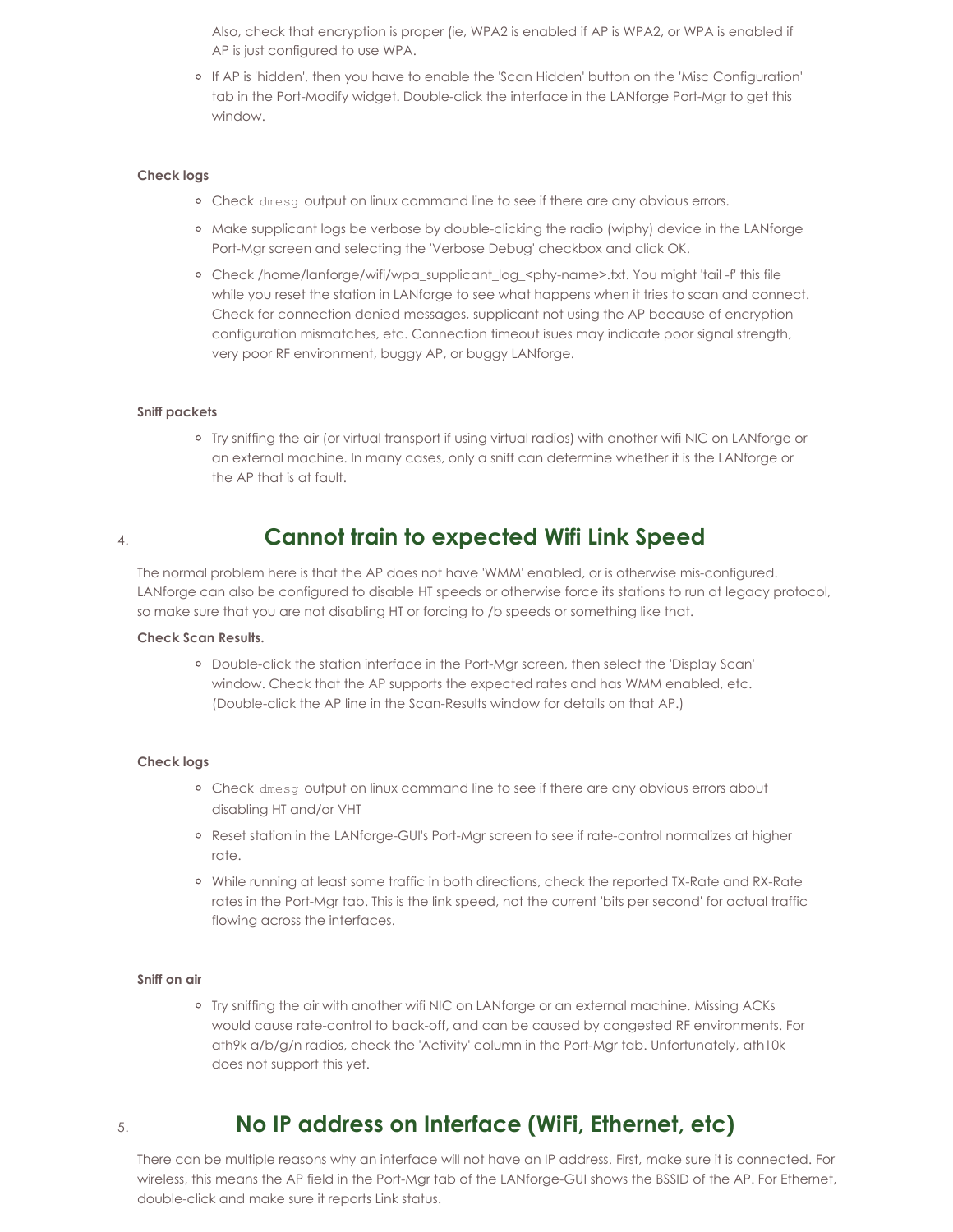Also, check that encryption is proper (ie, WPA2 is enabled if AP is WPA2, or WPA is enabled if AP is just configured to use WPA.

If AP is 'hidden', then you have to enable the 'Scan Hidden' button on the 'Misc Configuration' tab in the Port-Modify widget. Double-click the interface in the LANforge Port-Mgr to get this window.

#### **Check logs**

- Check dmesg output on linux command line to see if there are any obvious errors.
- o Make supplicant logs be verbose by double-clicking the radio (wiphy) device in the LANforge Port-Mgr screen and selecting the 'Verbose Debug' checkbox and click OK.
- Check /home/lanforge/wifi/wpa\_supplicant\_log\_<phy-name>.txt. You might 'tail -f' this file while you reset the station in LANforge to see what happens when it tries to scan and connect. Check for connection denied messages, supplicant not using the AP because of encryption configuration mismatches, etc. Connection timeout isues may indicate poor signal strength, very poor RF environment, buggy AP, or buggy LANforge.

#### **Sniff packets**

Try sniffing the air (or virtual transport if using virtual radios) with another wifi NIC on LANforge or an external machine. In many cases, only a sniff can determine whether it is the LANforge or the AP that is at fault.

## 4. **Cannot train to expected Wifi Link Speed**

The normal problem here is that the AP does not have 'WMM' enabled, or is otherwise mis-configured. LANforge can also be configured to disable HT speeds or otherwise force its stations to run at legacy protocol, so make sure that you are not disabling HT or forcing to /b speeds or something like that.

### **Check Scan Results.**

Double-click the station interface in the Port-Mgr screen, then select the 'Display Scan' window. Check that the AP supports the expected rates and has WMM enabled, etc. (Double-click the AP line in the Scan-Results window for details on that AP.)

#### **Check logs**

- o Check dmesg output on linux command line to see if there are any obvious errors about disabling HT and/or VHT
- Reset station in the LANforge-GUI's Port-Mgr screen to see if rate-control normalizes at higher rate.
- While running at least some traffic in both directions, check the reported TX-Rate and RX-Rate rates in the Port-Mgr tab. This is the link speed, not the current 'bits per second' for actual traffic flowing across the interfaces.

#### **Sniff on air**

Try sniffing the air with another wifi NIC on LANforge or an external machine. Missing ACKs would cause rate-control to back-off, and can be caused by congested RF environments. For ath9k a/b/g/n radios, check the 'Activity' column in the Port-Mgr tab. Unfortunately, ath10k does not support this yet.

## 5. **No IP address on Interface (WiFi, Ethernet, etc)**

There can be multiple reasons why an interface will not have an IP address. First, make sure it is connected. For wireless, this means the AP field in the Port-Mgr tab of the LANforge-GUI shows the BSSID of the AP. For Ethernet, double-click and make sure it reports Link status.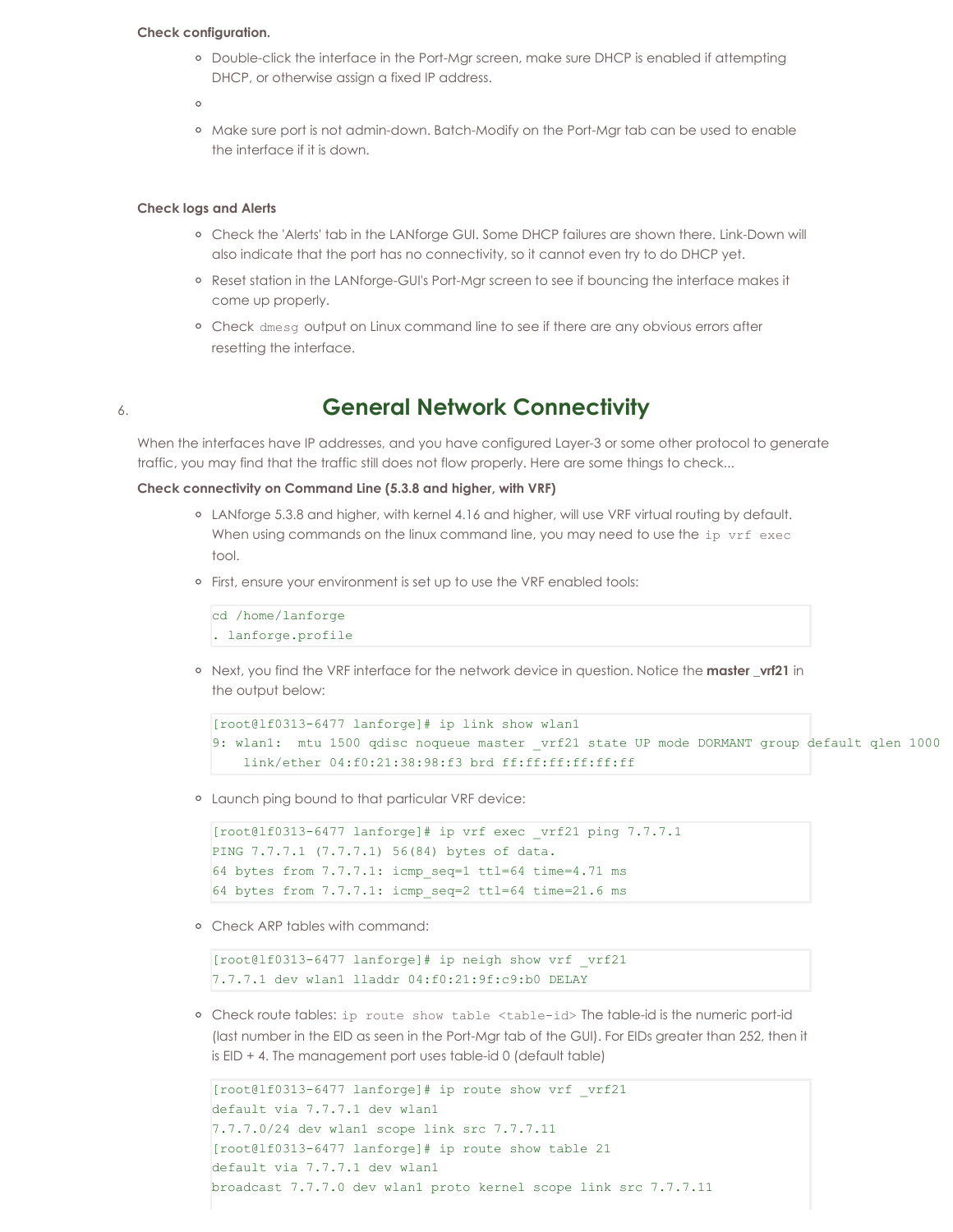#### **Check configuration.**

Double-click the interface in the Port-Mgr screen, make sure DHCP is enabled if attempting DHCP, or otherwise assign a fixed IP address.

 $\circ$ 

<sup>o</sup> Make sure port is not admin-down. Batch-Modify on the Port-Mgr tab can be used to enable the interface if it is down.

#### **Check logs and Alerts**

- Check the 'Alerts' tab in the LANforge GUI. Some DHCP failures are shown there. Link-Down will also indicate that the port has no connectivity, so it cannot even try to do DHCP yet.
- o Reset station in the LANforge-GUI's Port-Mgr screen to see if bouncing the interface makes it come up properly.
- <sup>o</sup> Check dmesg output on Linux command line to see if there are any obvious errors after resetting the interface.

## 6. **General Network Connectivity**

When the interfaces have IP addresses, and you have configured Layer-3 or some other protocol to generate traffic, you may find that the traffic still does not flow properly. Here are some things to check...

#### **Check connectivity on Command Line (5.3.8 and higher, with VRF)**

- LANforge 5.3.8 and higher, with kernel 4.16 and higher, will use VRF virtual routing by default. When using commands on the linux command line, you may need to use the ip vrf exec tool.
- First, ensure your environment is set up to use the VRF enabled tools:

```
cd /home/lanforge
. lanforge.profile
```
o Next, you find the VRF interface for the network device in question. Notice the **master \_vrf21** in the output below:

```
[root@lf0313-6477 lanforge]# ip link show wlan1
9: wlan1: mtu 1500 qdisc noqueue master vrf21 state UP mode DORMANT group default qlen 1000
    link/ether 04:f0:21:38:98:f3 brd ff:ff:ff:ff:ff:ff
```
Launch ping bound to that particular VRF device:

```
[root@lf0313-6477 \text{ lanforge}]# ip vrf exec vrf21 ping 7.7.7.1
PING 7.7.7.1 (7.7.7.1) 56(84) bytes of data.
64 bytes from 7.7.7.1: icmp seq=1 ttl=64 time=4.71 ms
64 bytes from 7.7.7.1: icmp_seq=2 ttl=64 time=21.6 ms
```
Check ARP tables with command:

```
[root@lf0313-6477 lanforge]# ip neigh show vrf vrf21
7.7.7.1 dev wlan1 lladdr 04:f0:21:9f:c9:b0 DELAY
```
o Check route tables: ip route show table <table-id> The table-id is the numeric port-id (last number in the EID as seen in the Port-Mgr tab of the GUI). For EIDs greater than 252, then it is EID + 4. The management port uses table-id 0 (default table)

```
|[root@lf0313-6477 lanforge]# ip route show vrf vrf21
default via 7.7.7.1 dev wlan1
7.7.7.0/24 dev wlan1 scope link src 7.7.7.11
[root@lf0313-6477 lanforge]# ip route show table 21
default via 7.7.7.1 dev wlan1
broadcast 7.7.7.0 dev wlan1 proto kernel scope link src 7.7.7.11
```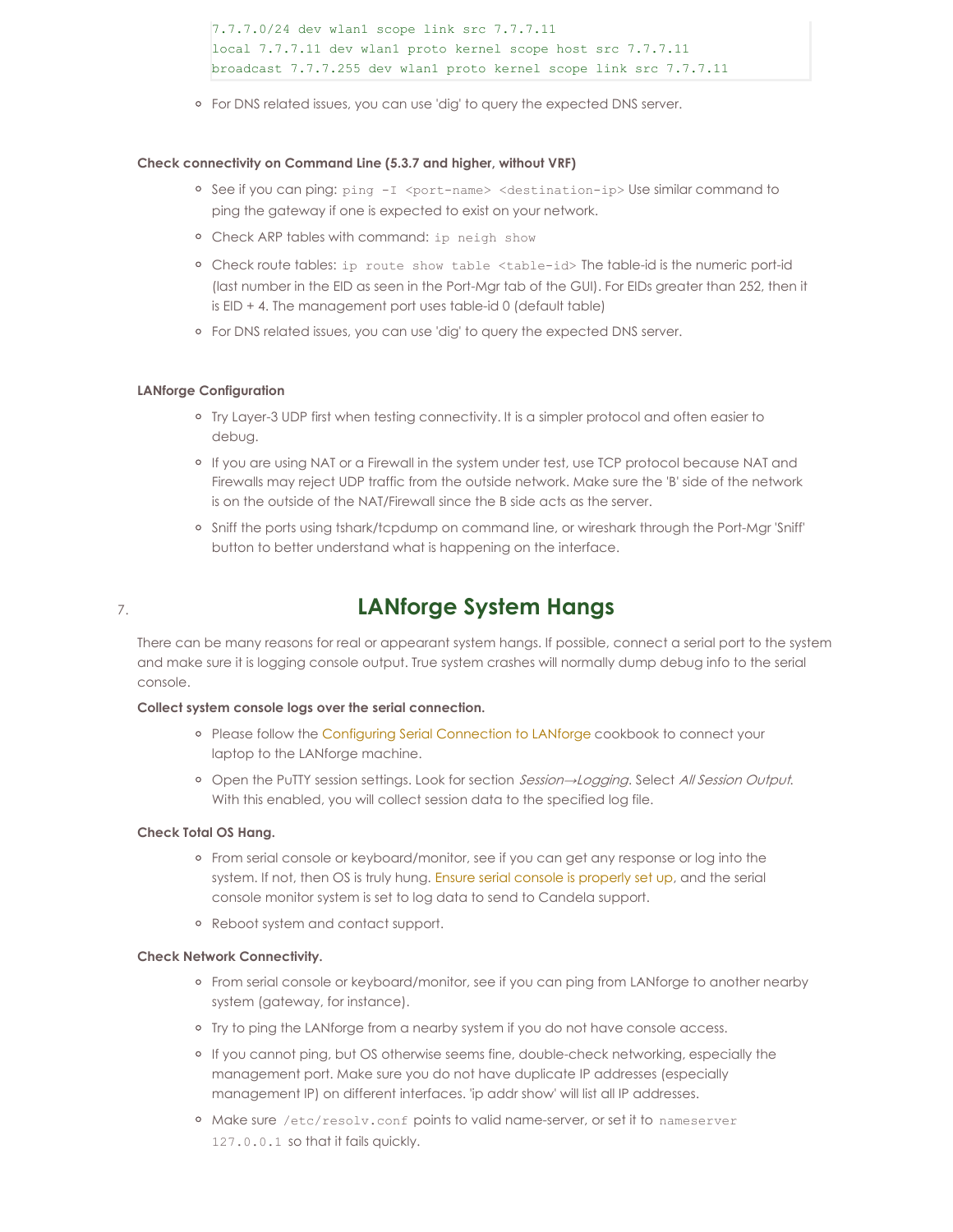7.7.7.0/24 dev wlan1 scope link src 7.7.7.11 local 7.7.7.11 dev wlan1 proto kernel scope host src 7.7.7.11 broadcast 7.7.7.255 dev wlan1 proto kernel scope link src 7.7.7.11

For DNS related issues, you can use 'dig' to query the expected DNS server.

#### **Check connectivity on Command Line (5.3.7 and higher, without VRF)**

- o See if you can ping: ping -I <port-name> <destination-ip> Use similar command to ping the gateway if one is expected to exist on your network.
- Check ARP tables with command: ip neigh show
- o Check route tables: ip route show table <table-id> The table-id is the numeric port-id (last number in the EID as seen in the Port-Mgr tab of the GUI). For EIDs greater than 252, then it is EID + 4. The management port uses table-id 0 (default table)
- For DNS related issues, you can use 'dig' to query the expected DNS server.

#### **LANforge Configuration**

- o Try Layer-3 UDP first when testing connectivity. It is a simpler protocol and often easier to debug.
- o If you are using NAT or a Firewall in the system under test, use TCP protocol because NAT and Firewalls may reject UDP traffic from the outside network. Make sure the 'B' side of the network is on the outside of the NAT/Firewall since the B side acts as the server.
- o Sniff the ports using tshark/tcpdump on command line, or wireshark through the Port-Mgr 'Sniff' button to better understand what is happening on the interface.

## 7. **LANforge System Hangs**

There can be many reasons for real or appearant system hangs. If possible, connect a serial port to the system and make sure it is logging console output. True system crashes will normally dump debug info to the serial console.

### **Collect system console logs over the serial connection.**

- o Please follow the Configuring Serial [Connection](http://www.candelatech.com/cookbook.php?vol=misc&book=Configuring+Serial+Connection+to+LANforge) to LANforge cookbook to connect your laptop to the LANforge machine.
- Open the PuTTY session settings. Look for section Session→Logging. Select All Session Output. With this enabled, you will collect session data to the specified log file.

### **Check Total OS Hang.**

- <sup>o</sup> From serial console or keyboard/monitor, see if you can get any response or log into the system. If not, then OS is truly hung. Ensure serial console is [properly](http://www.candelatech.com/cookbook.php?vol=misc&book=Configuring+Serial+Connection+to+LANforge) set up, and the serial console monitor system is set to log data to send to Candela support.
- Reboot system and contact support.

### **Check Network Connectivity.**

- From serial console or keyboard/monitor, see if you can ping from LANforge to another nearby system (gateway, for instance).
- o Try to ping the LANforge from a nearby system if you do not have console access.
- <sup>o</sup> If you cannot ping, but OS otherwise seems fine, double-check networking, especially the management port. Make sure you do not have duplicate IP addresses (especially management IP) on different interfaces. 'ip addr show' will list all IP addresses.
- o Make sure /etc/resolv.conf points to valid name-server, or set it to nameserver 127.0.0.1 so that it fails quickly.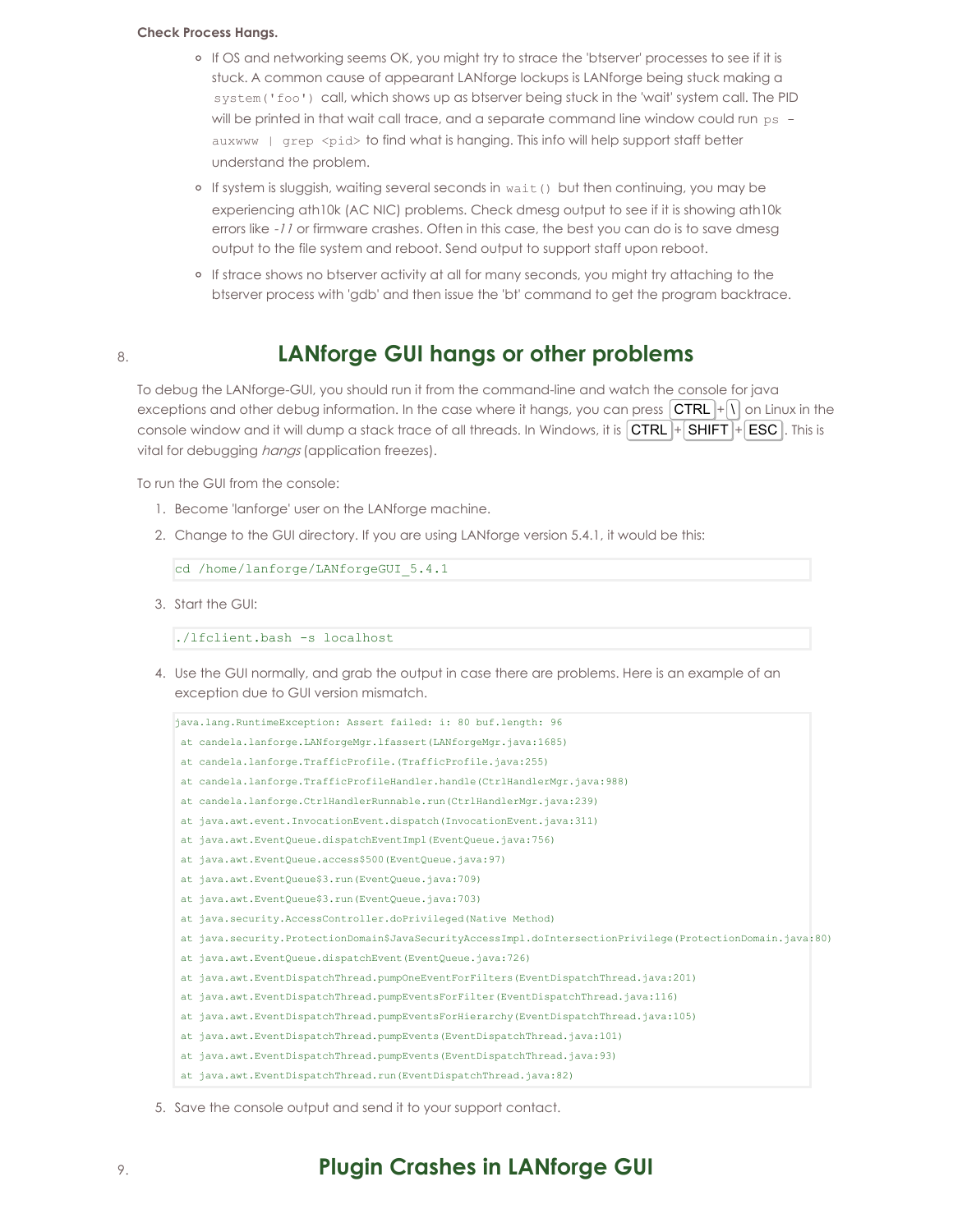#### **Check Process Hangs.**

- If OS and networking seems OK, you might try to strace the 'btserver' processes to see if it is stuck. A common cause of appearant LANforge lockups is LANforge being stuck making a system('foo') call, which shows up as btserver being stuck in the 'wait' system call. The PID will be printed in that wait call trace, and a separate command line window could run ps auxwww | grep <pid> to find what is hanging. This info will help support staff better understand the problem.
- <sup>o</sup> If system is sluggish, waiting several seconds in wait () but then continuing, you may be experiencing ath10k (AC NIC) problems. Check dmesg output to see if it is showing ath10k errors like -11 or firmware crashes. Often in this case, the best you can do is to save dmesg output to the file system and reboot. Send output to support staff upon reboot.
- If strace shows no btserver activity at all for many seconds, you might try attaching to the btserver process with 'gdb' and then issue the 'bt' command to get the program backtrace.

## 8. **LANforge GUI hangs or other problems**

To debug the LANforge-GUI, you should run it from the command-line and watch the console for java exceptions and other debug information. In the case where it hangs, you can press  $\overline{CTRL}$  +  $\setminus \overline{O}$  on Linux in the console window and it will dump a stack trace of all threads. In Windows, it is  $|{\sf CTRL}| + |{\sf SHIFT}| + |{\sf ESC}|$ . This is vital for debugging *hangs* (application freezes).

To run the GUI from the console:

- 1. Become 'lanforge' user on the LANforge machine.
- 2. Change to the GUI directory. If you are using LANforge version 5.4.1, it would be this:

cd /home/lanforge/LANforgeGUI 5.4.1

3. Start the GUI:

./lfclient.bash -s localhost

4. Use the GUI normally, and grab the output in case there are problems. Here is an example of an exception due to GUI version mismatch.

```
java.lang.RuntimeException: Assert failed: i: 80 buf.length: 96
at candela.lanforge.LANforgeMgr.lfassert(LANforgeMgr.java:1685)
at candela.lanforge.TrafficProfile.(TrafficProfile.java:255)
at candela.lanforge.TrafficProfileHandler.handle(CtrlHandlerMgr.java:988)
at candela.lanforge.CtrlHandlerRunnable.run(CtrlHandlerMgr.java:239)
at java.awt.event.InvocationEvent.dispatch(InvocationEvent.java:311)
at java.awt.EventQueue.dispatchEventImpl(EventQueue.java:756)
at java.awt.EventQueue.access$500(EventQueue.java:97)
at java.awt.EventQueue$3.run(EventQueue.java:709)
at java.awt.EventQueue$3.run(EventQueue.java:703)
at java.security.AccessController.doPrivileged(Native Method)
at java.security.ProtectionDomain$JavaSecurityAccessImpl.doIntersectionPrivilege(ProtectionDomain.java:80)
at java.awt.EventOueue.dispatchEvent(EventOueue.java:726)
at java.awt.EventDispatchThread.pumpOneEventForFilters(EventDispatchThread.java:201)
at java.awt.EventDispatchThread.pumpEventsForFilter(EventDispatchThread.java:116)
at java.awt.EventDispatchThread.pumpEventsForHierarchy(EventDispatchThread.java:105)
at java.awt.EventDispatchThread.pumpEvents(EventDispatchThread.java:101)
at java.awt.EventDispatchThread.pumpEvents(EventDispatchThread.java:93)
at java.awt.EventDispatchThread.run(EventDispatchThread.java:82)
```
5. Save the console output and send it to your support contact.

## 9. **Plugin Crashes in LANforge GUI**